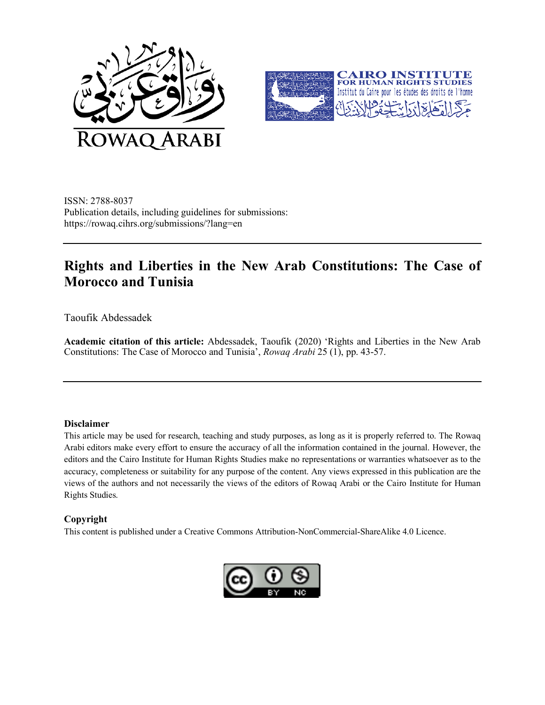



ISSN: 2788-8037 Publication details, including guidelines for submissions: https://rowaq.cihrs.org/submissions/?lang=en

# **Rights and Liberties in the New Arab Constitutions: The Case of Morocco and Tunisia**

Taoufik Abdessadek

**Academic citation of this article:** Abdessadek, Taoufik (2020) 'Rights and Liberties in the New Arab Constitutions: The Case of Morocco and Tunisia', *Rowaq Arabi* 25 (1), pp. 43-57.

#### **Disclaimer**

This article may be used for research, teaching and study purposes, as long as it is properly referred to. The Rowaq Arabi editors make every effort to ensure the accuracy of all the information contained in the journal. However, the editors and the Cairo Institute for Human Rights Studies make no representations or warranties whatsoever as to the accuracy, completeness or suitability for any purpose of the content. Any views expressed in this publication are the views of the authors and not necessarily the views of the editors of Rowaq Arabi or the Cairo Institute for Human Rights Studies.

#### **Copyright**

This content is published under a Creative Commons Attribution-NonCommercial-ShareAlike 4.0 Licence.

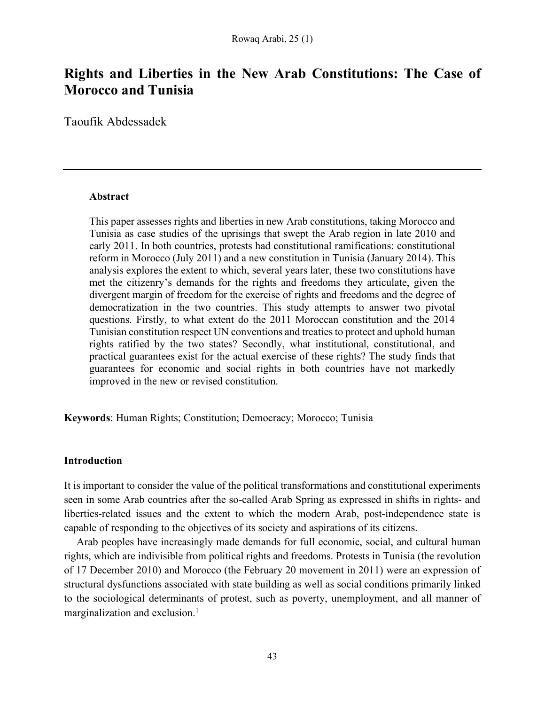## **Rights and Liberties in the New Arab Constitutions: The Case of Morocco and Tunisia**

Taoufik Abdessadek

#### **Abstract**

This paper assesses rights and liberties in new Arab constitutions, taking Morocco and Tunisia as case studies of the uprisings that swept the Arab region in late 2010 and early 2011. In both countries, protests had constitutional ramifications: constitutional reform in Morocco (July 2011) and a new constitution in Tunisia (January 2014). This analysis explores the extent to which, several years later, these two constitutions have met the citizenry's demands for the rights and freedoms they articulate, given the divergent margin of freedom for the exercise of rights and freedoms and the degree of democratization in the two countries. This study attempts to answer two pivotal questions. Firstly, to what extent do the 2011 Moroccan constitution and the 2014 Tunisian constitution respect UN conventions and treaties to protect and uphold human rights ratified by the two states? Secondly, what institutional, constitutional, and practical guarantees exist for the actual exercise of these rights? The study finds that guarantees for economic and social rights in both countries have not markedly improved in the new or revised constitution.

**Keywords**: Human Rights; Constitution; Democracy; Morocco; Tunisia

## **Introduction**

It is important to consider the value of the political transformations and constitutional experiments seen in some Arab countries after the so-called Arab Spring as expressed in shifts in rights- and liberties-related issues and the extent to which the modern Arab, post-independence state is capable of responding to the objectives of its society and aspirations of its citizens.

Arab peoples have increasingly made demands for full economic, social, and cultural human rights, which are indivisible from political rights and freedoms. Protests in Tunisia (the revolution of 17 December 2010) and Morocco (the February 20 movement in 2011) were an expression of structural dysfunctions associated with state building as well as social conditions primarily linked to the sociological determinants of protest, such as poverty, unemployment, and all manner of marginalization and exclusion.<sup>1</sup>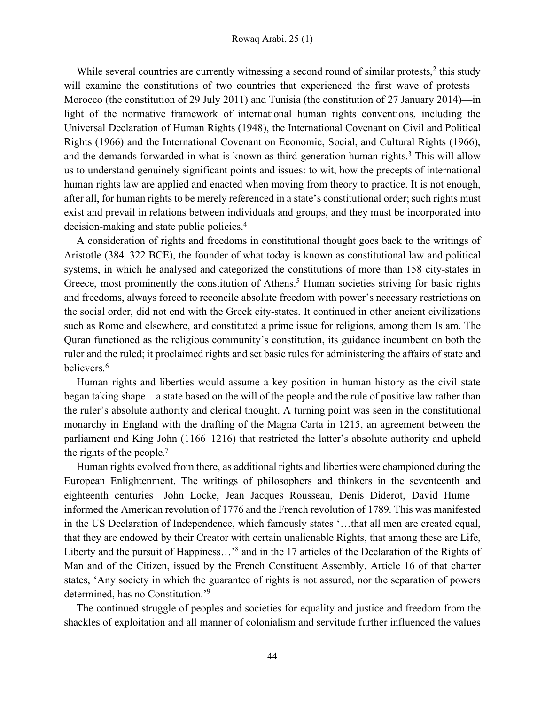While several countries are currently witnessing a second round of similar protests,<sup>2</sup> this study will examine the constitutions of two countries that experienced the first wave of protests— Morocco (the constitution of 29 July 2011) and Tunisia (the constitution of 27 January 2014)—in light of the normative framework of international human rights conventions, including the Universal Declaration of Human Rights (1948), the International Covenant on Civil and Political Rights (1966) and the International Covenant on Economic, Social, and Cultural Rights (1966), and the demands forwarded in what is known as third-generation human rights.<sup>3</sup> This will allow us to understand genuinely significant points and issues: to wit, how the precepts of international human rights law are applied and enacted when moving from theory to practice. It is not enough, after all, for human rights to be merely referenced in a state's constitutional order; such rights must exist and prevail in relations between individuals and groups, and they must be incorporated into decision-making and state public policies.4

A consideration of rights and freedoms in constitutional thought goes back to the writings of Aristotle (384–322 BCE), the founder of what today is known as constitutional law and political systems, in which he analysed and categorized the constitutions of more than 158 city-states in Greece, most prominently the constitution of Athens.<sup>5</sup> Human societies striving for basic rights and freedoms, always forced to reconcile absolute freedom with power's necessary restrictions on the social order, did not end with the Greek city-states. It continued in other ancient civilizations such as Rome and elsewhere, and constituted a prime issue for religions, among them Islam. The Quran functioned as the religious community's constitution, its guidance incumbent on both the ruler and the ruled; it proclaimed rights and set basic rules for administering the affairs of state and believers.<sup>6</sup>

Human rights and liberties would assume a key position in human history as the civil state began taking shape—a state based on the will of the people and the rule of positive law rather than the ruler's absolute authority and clerical thought. A turning point was seen in the constitutional monarchy in England with the drafting of the Magna Carta in 1215, an agreement between the parliament and King John (1166–1216) that restricted the latter's absolute authority and upheld the rights of the people.7

Human rights evolved from there, as additional rights and liberties were championed during the European Enlightenment. The writings of philosophers and thinkers in the seventeenth and eighteenth centuries—John Locke, Jean Jacques Rousseau, Denis Diderot, David Hume informed the American revolution of 1776 and the French revolution of 1789. This was manifested in the US Declaration of Independence, which famously states '…that all men are created equal, that they are endowed by their Creator with certain unalienable Rights, that among these are Life, Liberty and the pursuit of Happiness…'8 and in the 17 articles of the Declaration of the Rights of Man and of the Citizen, issued by the French Constituent Assembly. Article 16 of that charter states, 'Any society in which the guarantee of rights is not assured, nor the separation of powers determined, has no Constitution.'9

The continued struggle of peoples and societies for equality and justice and freedom from the shackles of exploitation and all manner of colonialism and servitude further influenced the values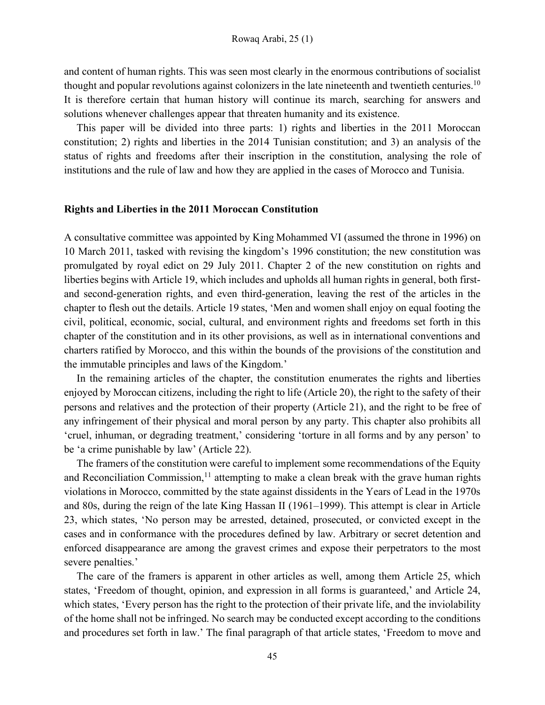and content of human rights. This was seen most clearly in the enormous contributions of socialist thought and popular revolutions against colonizers in the late nineteenth and twentieth centuries.10 It is therefore certain that human history will continue its march, searching for answers and solutions whenever challenges appear that threaten humanity and its existence.

This paper will be divided into three parts: 1) rights and liberties in the 2011 Moroccan constitution; 2) rights and liberties in the 2014 Tunisian constitution; and 3) an analysis of the status of rights and freedoms after their inscription in the constitution, analysing the role of institutions and the rule of law and how they are applied in the cases of Morocco and Tunisia.

#### **Rights and Liberties in the 2011 Moroccan Constitution**

A consultative committee was appointed by King Mohammed VI (assumed the throne in 1996) on 10 March 2011, tasked with revising the kingdom's 1996 constitution; the new constitution was promulgated by royal edict on 29 July 2011. Chapter 2 of the new constitution on rights and liberties begins with Article 19, which includes and upholds all human rights in general, both firstand second-generation rights, and even third-generation, leaving the rest of the articles in the chapter to flesh out the details. Article 19 states, 'Men and women shall enjoy on equal footing the civil, political, economic, social, cultural, and environment rights and freedoms set forth in this chapter of the constitution and in its other provisions, as well as in international conventions and charters ratified by Morocco, and this within the bounds of the provisions of the constitution and the immutable principles and laws of the Kingdom.'

In the remaining articles of the chapter, the constitution enumerates the rights and liberties enjoyed by Moroccan citizens, including the right to life (Article 20), the right to the safety of their persons and relatives and the protection of their property (Article 21), and the right to be free of any infringement of their physical and moral person by any party. This chapter also prohibits all 'cruel, inhuman, or degrading treatment,' considering 'torture in all forms and by any person' to be 'a crime punishable by law' (Article 22).

The framers of the constitution were careful to implement some recommendations of the Equity and Reconciliation Commission, $<sup>11</sup>$  attempting to make a clean break with the grave human rights</sup> violations in Morocco, committed by the state against dissidents in the Years of Lead in the 1970s and 80s, during the reign of the late King Hassan II (1961–1999). This attempt is clear in Article 23, which states, 'No person may be arrested, detained, prosecuted, or convicted except in the cases and in conformance with the procedures defined by law. Arbitrary or secret detention and enforced disappearance are among the gravest crimes and expose their perpetrators to the most severe penalties.'

The care of the framers is apparent in other articles as well, among them Article 25, which states, 'Freedom of thought, opinion, and expression in all forms is guaranteed,' and Article 24, which states, 'Every person has the right to the protection of their private life, and the inviolability of the home shall not be infringed. No search may be conducted except according to the conditions and procedures set forth in law.' The final paragraph of that article states, 'Freedom to move and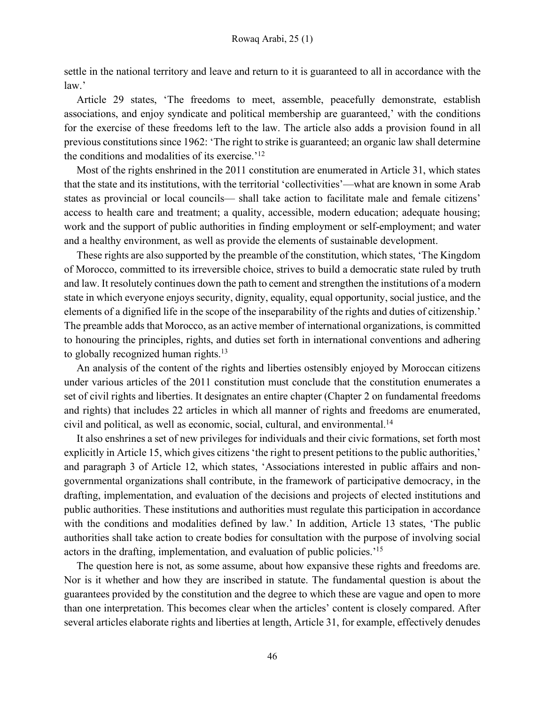settle in the national territory and leave and return to it is guaranteed to all in accordance with the law.'

Article 29 states, 'The freedoms to meet, assemble, peacefully demonstrate, establish associations, and enjoy syndicate and political membership are guaranteed,' with the conditions for the exercise of these freedoms left to the law. The article also adds a provision found in all previous constitutions since 1962: 'The right to strike is guaranteed; an organic law shall determine the conditions and modalities of its exercise.'12

Most of the rights enshrined in the 2011 constitution are enumerated in Article 31, which states that the state and its institutions, with the territorial 'collectivities'—what are known in some Arab states as provincial or local councils— shall take action to facilitate male and female citizens' access to health care and treatment; a quality, accessible, modern education; adequate housing; work and the support of public authorities in finding employment or self-employment; and water and a healthy environment, as well as provide the elements of sustainable development.

These rights are also supported by the preamble of the constitution, which states, 'The Kingdom of Morocco, committed to its irreversible choice, strives to build a democratic state ruled by truth and law. It resolutely continues down the path to cement and strengthen the institutions of a modern state in which everyone enjoys security, dignity, equality, equal opportunity, social justice, and the elements of a dignified life in the scope of the inseparability of the rights and duties of citizenship.' The preamble adds that Morocco, as an active member of international organizations, is committed to honouring the principles, rights, and duties set forth in international conventions and adhering to globally recognized human rights.<sup>13</sup>

An analysis of the content of the rights and liberties ostensibly enjoyed by Moroccan citizens under various articles of the 2011 constitution must conclude that the constitution enumerates a set of civil rights and liberties. It designates an entire chapter (Chapter 2 on fundamental freedoms and rights) that includes 22 articles in which all manner of rights and freedoms are enumerated, civil and political, as well as economic, social, cultural, and environmental.14

It also enshrines a set of new privileges for individuals and their civic formations, set forth most explicitly in Article 15, which gives citizens 'the right to present petitions to the public authorities,' and paragraph 3 of Article 12, which states, 'Associations interested in public affairs and nongovernmental organizations shall contribute, in the framework of participative democracy, in the drafting, implementation, and evaluation of the decisions and projects of elected institutions and public authorities. These institutions and authorities must regulate this participation in accordance with the conditions and modalities defined by law.' In addition, Article 13 states, 'The public authorities shall take action to create bodies for consultation with the purpose of involving social actors in the drafting, implementation, and evaluation of public policies.'15

The question here is not, as some assume, about how expansive these rights and freedoms are. Nor is it whether and how they are inscribed in statute. The fundamental question is about the guarantees provided by the constitution and the degree to which these are vague and open to more than one interpretation. This becomes clear when the articles' content is closely compared. After several articles elaborate rights and liberties at length, Article 31, for example, effectively denudes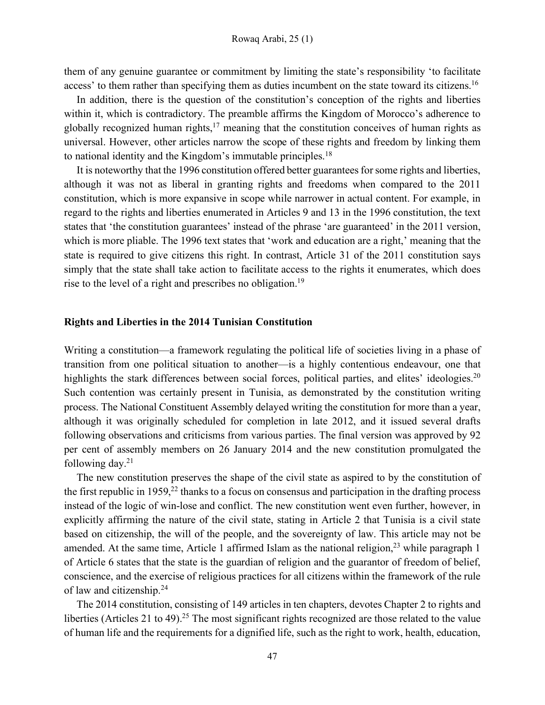them of any genuine guarantee or commitment by limiting the state's responsibility 'to facilitate access' to them rather than specifying them as duties incumbent on the state toward its citizens.<sup>16</sup>

In addition, there is the question of the constitution's conception of the rights and liberties within it, which is contradictory. The preamble affirms the Kingdom of Morocco's adherence to globally recognized human rights, $17$  meaning that the constitution conceives of human rights as universal. However, other articles narrow the scope of these rights and freedom by linking them to national identity and the Kingdom's immutable principles.18

It is noteworthy that the 1996 constitution offered better guarantees for some rights and liberties, although it was not as liberal in granting rights and freedoms when compared to the 2011 constitution, which is more expansive in scope while narrower in actual content. For example, in regard to the rights and liberties enumerated in Articles 9 and 13 in the 1996 constitution, the text states that 'the constitution guarantees' instead of the phrase 'are guaranteed' in the 2011 version, which is more pliable. The 1996 text states that 'work and education are a right,' meaning that the state is required to give citizens this right. In contrast, Article 31 of the 2011 constitution says simply that the state shall take action to facilitate access to the rights it enumerates, which does rise to the level of a right and prescribes no obligation.19

#### **Rights and Liberties in the 2014 Tunisian Constitution**

Writing a constitution—a framework regulating the political life of societies living in a phase of transition from one political situation to another—is a highly contentious endeavour, one that highlights the stark differences between social forces, political parties, and elites' ideologies.<sup>20</sup> Such contention was certainly present in Tunisia, as demonstrated by the constitution writing process. The National Constituent Assembly delayed writing the constitution for more than a year, although it was originally scheduled for completion in late 2012, and it issued several drafts following observations and criticisms from various parties. The final version was approved by 92 per cent of assembly members on 26 January 2014 and the new constitution promulgated the following day. $21$ 

The new constitution preserves the shape of the civil state as aspired to by the constitution of the first republic in  $1959<sup>22</sup>$  thanks to a focus on consensus and participation in the drafting process instead of the logic of win-lose and conflict. The new constitution went even further, however, in explicitly affirming the nature of the civil state, stating in Article 2 that Tunisia is a civil state based on citizenship, the will of the people, and the sovereignty of law. This article may not be amended. At the same time, Article 1 affirmed Islam as the national religion,  $23$  while paragraph 1 of Article 6 states that the state is the guardian of religion and the guarantor of freedom of belief, conscience, and the exercise of religious practices for all citizens within the framework of the rule of law and citizenship.24

The 2014 constitution, consisting of 149 articles in ten chapters, devotes Chapter 2 to rights and liberties (Articles 21 to 49).<sup>25</sup> The most significant rights recognized are those related to the value of human life and the requirements for a dignified life, such as the right to work, health, education,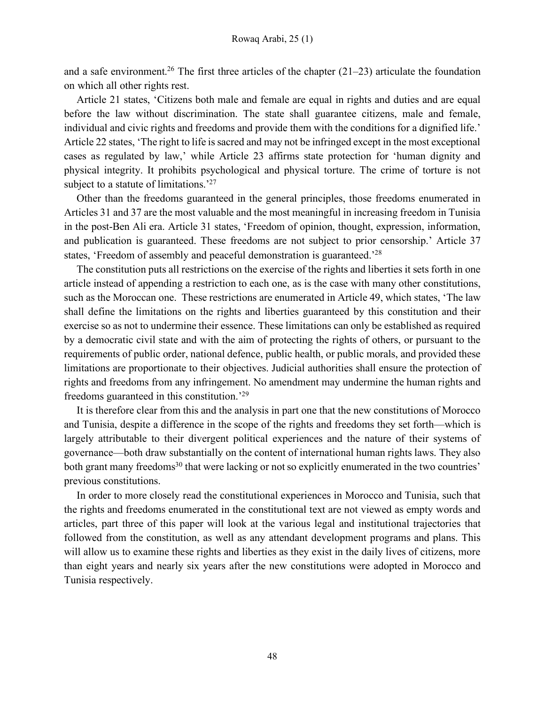and a safe environment.<sup>26</sup> The first three articles of the chapter  $(21-23)$  articulate the foundation on which all other rights rest.

Article 21 states, 'Citizens both male and female are equal in rights and duties and are equal before the law without discrimination. The state shall guarantee citizens, male and female, individual and civic rights and freedoms and provide them with the conditions for a dignified life.' Article 22 states, 'The right to life is sacred and may not be infringed except in the most exceptional cases as regulated by law,' while Article 23 affirms state protection for 'human dignity and physical integrity. It prohibits psychological and physical torture. The crime of torture is not subject to a statute of limitations.<sup>'27</sup>

Other than the freedoms guaranteed in the general principles, those freedoms enumerated in Articles 31 and 37 are the most valuable and the most meaningful in increasing freedom in Tunisia in the post-Ben Ali era. Article 31 states, 'Freedom of opinion, thought, expression, information, and publication is guaranteed. These freedoms are not subject to prior censorship.' Article 37 states, 'Freedom of assembly and peaceful demonstration is guaranteed.'28

The constitution puts all restrictions on the exercise of the rights and liberties it sets forth in one article instead of appending a restriction to each one, as is the case with many other constitutions, such as the Moroccan one. These restrictions are enumerated in Article 49, which states, 'The law shall define the limitations on the rights and liberties guaranteed by this constitution and their exercise so as not to undermine their essence. These limitations can only be established as required by a democratic civil state and with the aim of protecting the rights of others, or pursuant to the requirements of public order, national defence, public health, or public morals, and provided these limitations are proportionate to their objectives. Judicial authorities shall ensure the protection of rights and freedoms from any infringement. No amendment may undermine the human rights and freedoms guaranteed in this constitution.'29

It is therefore clear from this and the analysis in part one that the new constitutions of Morocco and Tunisia, despite a difference in the scope of the rights and freedoms they set forth—which is largely attributable to their divergent political experiences and the nature of their systems of governance—both draw substantially on the content of international human rights laws. They also both grant many freedoms<sup>30</sup> that were lacking or not so explicitly enumerated in the two countries' previous constitutions.

In order to more closely read the constitutional experiences in Morocco and Tunisia, such that the rights and freedoms enumerated in the constitutional text are not viewed as empty words and articles, part three of this paper will look at the various legal and institutional trajectories that followed from the constitution, as well as any attendant development programs and plans. This will allow us to examine these rights and liberties as they exist in the daily lives of citizens, more than eight years and nearly six years after the new constitutions were adopted in Morocco and Tunisia respectively.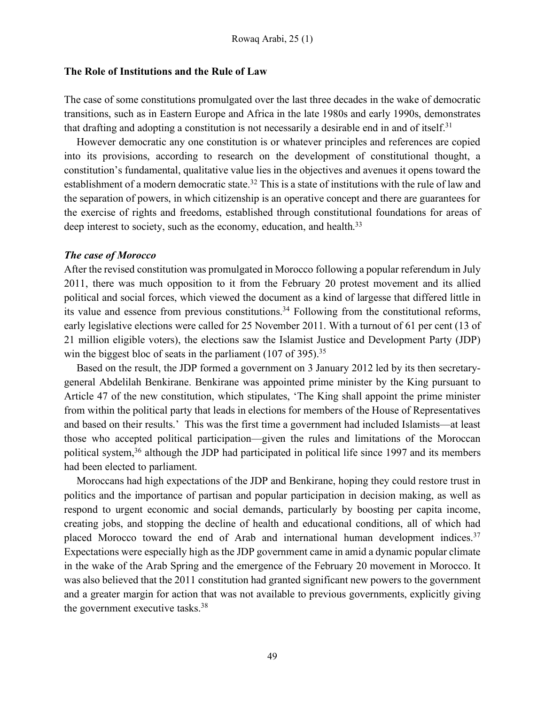#### **The Role of Institutions and the Rule of Law**

The case of some constitutions promulgated over the last three decades in the wake of democratic transitions, such as in Eastern Europe and Africa in the late 1980s and early 1990s, demonstrates that drafting and adopting a constitution is not necessarily a desirable end in and of itself.31

However democratic any one constitution is or whatever principles and references are copied into its provisions, according to research on the development of constitutional thought, a constitution's fundamental, qualitative value lies in the objectives and avenues it opens toward the establishment of a modern democratic state.<sup>32</sup> This is a state of institutions with the rule of law and the separation of powers, in which citizenship is an operative concept and there are guarantees for the exercise of rights and freedoms, established through constitutional foundations for areas of deep interest to society, such as the economy, education, and health.<sup>33</sup>

## *The case of Morocco*

After the revised constitution was promulgated in Morocco following a popular referendum in July 2011, there was much opposition to it from the February 20 protest movement and its allied political and social forces, which viewed the document as a kind of largesse that differed little in its value and essence from previous constitutions.34 Following from the constitutional reforms, early legislative elections were called for 25 November 2011. With a turnout of 61 per cent (13 of 21 million eligible voters), the elections saw the Islamist Justice and Development Party (JDP) win the biggest bloc of seats in the parliament  $(107 \text{ of } 395)^{35}$ 

Based on the result, the JDP formed a government on 3 January 2012 led by its then secretarygeneral Abdelilah Benkirane. Benkirane was appointed prime minister by the King pursuant to Article 47 of the new constitution, which stipulates, 'The King shall appoint the prime minister from within the political party that leads in elections for members of the House of Representatives and based on their results.' This was the first time a government had included Islamists—at least those who accepted political participation—given the rules and limitations of the Moroccan political system,<sup>36</sup> although the JDP had participated in political life since 1997 and its members had been elected to parliament.

Moroccans had high expectations of the JDP and Benkirane, hoping they could restore trust in politics and the importance of partisan and popular participation in decision making, as well as respond to urgent economic and social demands, particularly by boosting per capita income, creating jobs, and stopping the decline of health and educational conditions, all of which had placed Morocco toward the end of Arab and international human development indices.<sup>37</sup> Expectations were especially high as the JDP government came in amid a dynamic popular climate in the wake of the Arab Spring and the emergence of the February 20 movement in Morocco. It was also believed that the 2011 constitution had granted significant new powers to the government and a greater margin for action that was not available to previous governments, explicitly giving the government executive tasks.38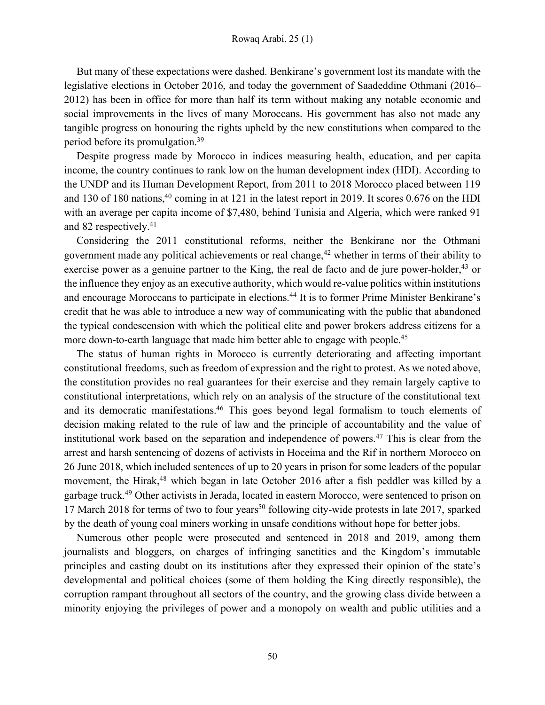But many of these expectations were dashed. Benkirane's government lost its mandate with the legislative elections in October 2016, and today the government of Saadeddine Othmani (2016– 2012) has been in office for more than half its term without making any notable economic and social improvements in the lives of many Moroccans. His government has also not made any tangible progress on honouring the rights upheld by the new constitutions when compared to the period before its promulgation.39

Despite progress made by Morocco in indices measuring health, education, and per capita income, the country continues to rank low on the human development index (HDI). According to the UNDP and its Human Development Report, from 2011 to 2018 Morocco placed between 119 and 130 of 180 nations, $40$  coming in at 121 in the latest report in 2019. It scores 0.676 on the HDI with an average per capita income of \$7,480, behind Tunisia and Algeria, which were ranked 91 and 82 respectively.41

Considering the 2011 constitutional reforms, neither the Benkirane nor the Othmani government made any political achievements or real change,<sup>42</sup> whether in terms of their ability to exercise power as a genuine partner to the King, the real de facto and de jure power-holder, $43$  or the influence they enjoy as an executive authority, which would re-value politics within institutions and encourage Moroccans to participate in elections.<sup>44</sup> It is to former Prime Minister Benkirane's credit that he was able to introduce a new way of communicating with the public that abandoned the typical condescension with which the political elite and power brokers address citizens for a more down-to-earth language that made him better able to engage with people.<sup>45</sup>

The status of human rights in Morocco is currently deteriorating and affecting important constitutional freedoms, such as freedom of expression and the right to protest. As we noted above, the constitution provides no real guarantees for their exercise and they remain largely captive to constitutional interpretations, which rely on an analysis of the structure of the constitutional text and its democratic manifestations.46 This goes beyond legal formalism to touch elements of decision making related to the rule of law and the principle of accountability and the value of institutional work based on the separation and independence of powers.47 This is clear from the arrest and harsh sentencing of dozens of activists in Hoceima and the Rif in northern Morocco on 26 June 2018, which included sentences of up to 20 years in prison for some leaders of the popular movement, the Hirak,<sup>48</sup> which began in late October 2016 after a fish peddler was killed by a garbage truck.49 Other activists in Jerada, located in eastern Morocco, were sentenced to prison on 17 March 2018 for terms of two to four years<sup>50</sup> following city-wide protests in late 2017, sparked by the death of young coal miners working in unsafe conditions without hope for better jobs.

Numerous other people were prosecuted and sentenced in 2018 and 2019, among them journalists and bloggers, on charges of infringing sanctities and the Kingdom's immutable principles and casting doubt on its institutions after they expressed their opinion of the state's developmental and political choices (some of them holding the King directly responsible), the corruption rampant throughout all sectors of the country, and the growing class divide between a minority enjoying the privileges of power and a monopoly on wealth and public utilities and a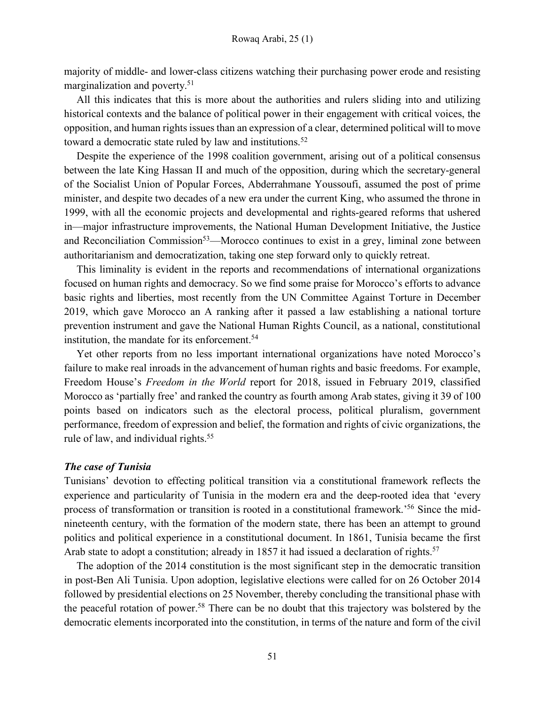majority of middle- and lower-class citizens watching their purchasing power erode and resisting marginalization and poverty.51

All this indicates that this is more about the authorities and rulers sliding into and utilizing historical contexts and the balance of political power in their engagement with critical voices, the opposition, and human rights issues than an expression of a clear, determined political will to move toward a democratic state ruled by law and institutions.<sup>52</sup>

Despite the experience of the 1998 coalition government, arising out of a political consensus between the late King Hassan II and much of the opposition, during which the secretary-general of the Socialist Union of Popular Forces, Abderrahmane Youssoufi, assumed the post of prime minister, and despite two decades of a new era under the current King, who assumed the throne in 1999, with all the economic projects and developmental and rights-geared reforms that ushered in—major infrastructure improvements, the National Human Development Initiative, the Justice and Reconciliation Commission<sup>53</sup>—Morocco continues to exist in a grey, liminal zone between authoritarianism and democratization, taking one step forward only to quickly retreat.

This liminality is evident in the reports and recommendations of international organizations focused on human rights and democracy. So we find some praise for Morocco's efforts to advance basic rights and liberties, most recently from the UN Committee Against Torture in December 2019, which gave Morocco an A ranking after it passed a law establishing a national torture prevention instrument and gave the National Human Rights Council, as a national, constitutional institution, the mandate for its enforcement.<sup>54</sup>

Yet other reports from no less important international organizations have noted Morocco's failure to make real inroads in the advancement of human rights and basic freedoms. For example, Freedom House's *Freedom in the World* report for 2018, issued in February 2019, classified Morocco as 'partially free' and ranked the country as fourth among Arab states, giving it 39 of 100 points based on indicators such as the electoral process, political pluralism, government performance, freedom of expression and belief, the formation and rights of civic organizations, the rule of law, and individual rights.<sup>55</sup>

#### *The case of Tunisia*

Tunisians' devotion to effecting political transition via a constitutional framework reflects the experience and particularity of Tunisia in the modern era and the deep-rooted idea that 'every process of transformation or transition is rooted in a constitutional framework.'56 Since the midnineteenth century, with the formation of the modern state, there has been an attempt to ground politics and political experience in a constitutional document. In 1861, Tunisia became the first Arab state to adopt a constitution; already in 1857 it had issued a declaration of rights.<sup>57</sup>

The adoption of the 2014 constitution is the most significant step in the democratic transition in post-Ben Ali Tunisia. Upon adoption, legislative elections were called for on 26 October 2014 followed by presidential elections on 25 November, thereby concluding the transitional phase with the peaceful rotation of power.58 There can be no doubt that this trajectory was bolstered by the democratic elements incorporated into the constitution, in terms of the nature and form of the civil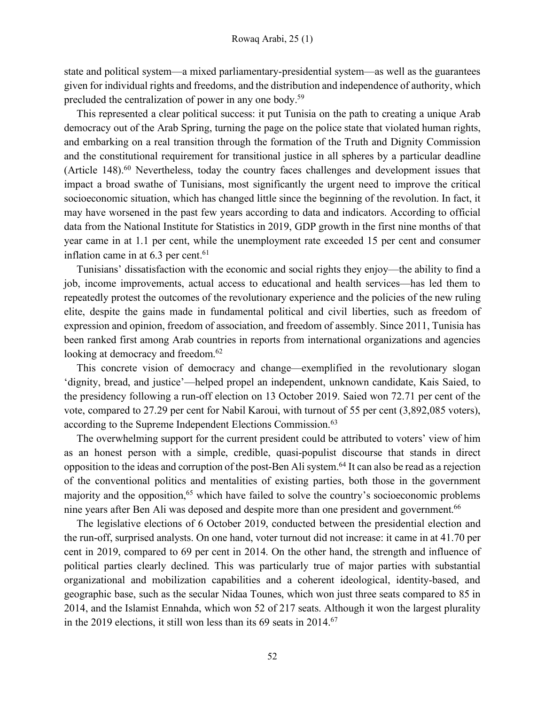state and political system—a mixed parliamentary-presidential system—as well as the guarantees given for individual rights and freedoms, and the distribution and independence of authority, which precluded the centralization of power in any one body.59

This represented a clear political success: it put Tunisia on the path to creating a unique Arab democracy out of the Arab Spring, turning the page on the police state that violated human rights, and embarking on a real transition through the formation of the Truth and Dignity Commission and the constitutional requirement for transitional justice in all spheres by a particular deadline (Article 148).<sup>60</sup> Nevertheless, today the country faces challenges and development issues that impact a broad swathe of Tunisians, most significantly the urgent need to improve the critical socioeconomic situation, which has changed little since the beginning of the revolution. In fact, it may have worsened in the past few years according to data and indicators. According to official data from the National Institute for Statistics in 2019, GDP growth in the first nine months of that year came in at 1.1 per cent, while the unemployment rate exceeded 15 per cent and consumer inflation came in at  $6.3$  per cent.<sup>61</sup>

Tunisians' dissatisfaction with the economic and social rights they enjoy—the ability to find a job, income improvements, actual access to educational and health services—has led them to repeatedly protest the outcomes of the revolutionary experience and the policies of the new ruling elite, despite the gains made in fundamental political and civil liberties, such as freedom of expression and opinion, freedom of association, and freedom of assembly. Since 2011, Tunisia has been ranked first among Arab countries in reports from international organizations and agencies looking at democracy and freedom.<sup>62</sup>

This concrete vision of democracy and change—exemplified in the revolutionary slogan 'dignity, bread, and justice'—helped propel an independent, unknown candidate, Kais Saied, to the presidency following a run-off election on 13 October 2019. Saied won 72.71 per cent of the vote, compared to 27.29 per cent for Nabil Karoui, with turnout of 55 per cent (3,892,085 voters), according to the Supreme Independent Elections Commission.<sup>63</sup>

The overwhelming support for the current president could be attributed to voters' view of him as an honest person with a simple, credible, quasi-populist discourse that stands in direct opposition to the ideas and corruption of the post-Ben Ali system.64 It can also be read as a rejection of the conventional politics and mentalities of existing parties, both those in the government majority and the opposition, $65$  which have failed to solve the country's socioeconomic problems nine years after Ben Ali was deposed and despite more than one president and government.<sup>66</sup>

The legislative elections of 6 October 2019, conducted between the presidential election and the run-off, surprised analysts. On one hand, voter turnout did not increase: it came in at 41.70 per cent in 2019, compared to 69 per cent in 2014. On the other hand, the strength and influence of political parties clearly declined. This was particularly true of major parties with substantial organizational and mobilization capabilities and a coherent ideological, identity-based, and geographic base, such as the secular Nidaa Tounes, which won just three seats compared to 85 in 2014, and the Islamist Ennahda, which won 52 of 217 seats. Although it won the largest plurality in the 2019 elections, it still won less than its  $69$  seats in  $2014$ .<sup>67</sup>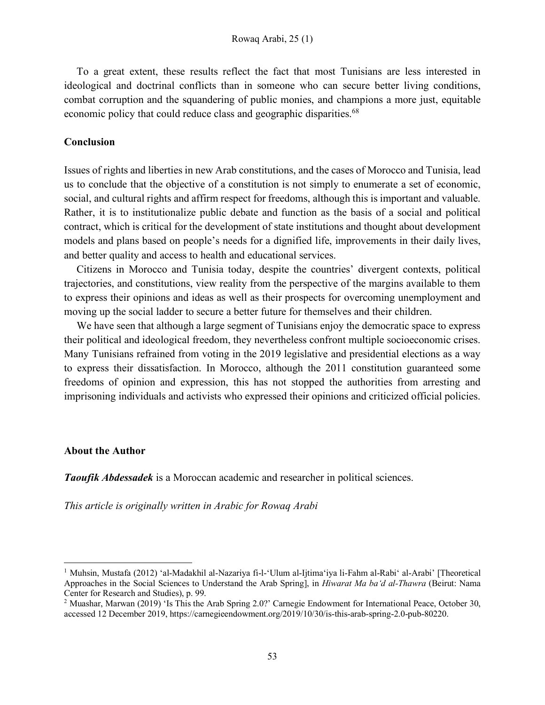To a great extent, these results reflect the fact that most Tunisians are less interested in ideological and doctrinal conflicts than in someone who can secure better living conditions, combat corruption and the squandering of public monies, and champions a more just, equitable economic policy that could reduce class and geographic disparities.<sup>68</sup>

## **Conclusion**

Issues of rights and liberties in new Arab constitutions, and the cases of Morocco and Tunisia, lead us to conclude that the objective of a constitution is not simply to enumerate a set of economic, social, and cultural rights and affirm respect for freedoms, although this is important and valuable. Rather, it is to institutionalize public debate and function as the basis of a social and political contract, which is critical for the development of state institutions and thought about development models and plans based on people's needs for a dignified life, improvements in their daily lives, and better quality and access to health and educational services.

Citizens in Morocco and Tunisia today, despite the countries' divergent contexts, political trajectories, and constitutions, view reality from the perspective of the margins available to them to express their opinions and ideas as well as their prospects for overcoming unemployment and moving up the social ladder to secure a better future for themselves and their children.

We have seen that although a large segment of Tunisians enjoy the democratic space to express their political and ideological freedom, they nevertheless confront multiple socioeconomic crises. Many Tunisians refrained from voting in the 2019 legislative and presidential elections as a way to express their dissatisfaction. In Morocco, although the 2011 constitution guaranteed some freedoms of opinion and expression, this has not stopped the authorities from arresting and imprisoning individuals and activists who expressed their opinions and criticized official policies.

## **About the Author**

l

*Taoufik Abdessadek* is a Moroccan academic and researcher in political sciences.

*This article is originally written in Arabic for Rowaq Arabi*

<sup>1</sup> Muhsin, Mustafa (2012) 'al-Madakhil al-Nazariya fi-l-'Ulum al-Ijtima'iya li-Fahm al-Rabi' al-Arabi' [Theoretical Approaches in the Social Sciences to Understand the Arab Spring], in *Hiwarat Ma ba'd al-Thawra* (Beirut: Nama Center for Research and Studies), p. 99.

<sup>2</sup> Muashar, Marwan (2019) 'Is This the Arab Spring 2.0?' Carnegie Endowment for International Peace, October 30, accessed 12 December 2019, https://carnegieendowment.org/2019/10/30/is-this-arab-spring-2.0-pub-80220.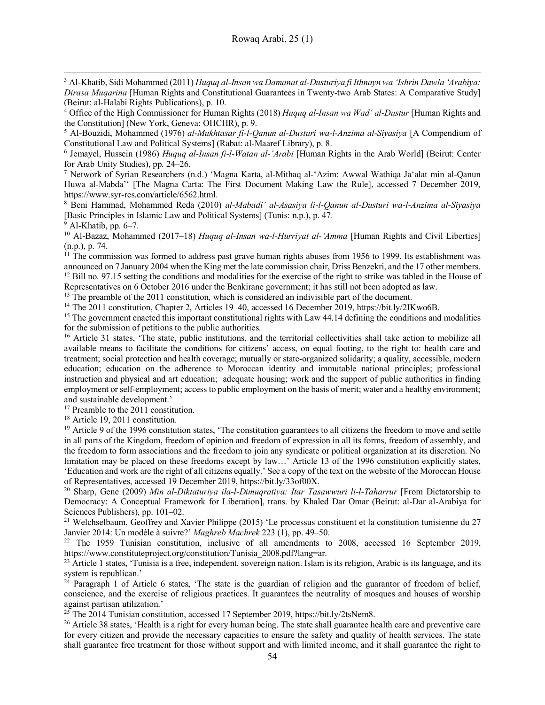<sup>3</sup> Al-Khatib, Sidi Mohammed (2011) *Huquq al-Insan wa Damanat al-Dusturiya fi Ithnayn wa 'Ishrin Dawla 'Arabiya: Dirasa Muqarina* [Human Rights and Constitutional Guarantees in Twenty-two Arab States: A Comparative Study] (Beirut: al-Halabi Rights Publications), p. 10.

<sup>4</sup> Office of the High Commissioner for Human Rights (2018) *Huquq al-Insan wa Wad' al-Dustur* [Human Rights and the Constitution] (New York, Geneva: OHCHR), p. 9.

<sup>5</sup> Al-Bouzidi, Mohammed (1976) *al-Mukhtasar fi-l-Qanun al-Dusturi wa-l-Anzima al-Siyasiya* [A Compendium of Constitutional Law and Political Systems] (Rabat: al-Maaref Library), p. 8.

<sup>6</sup> Jemayel, Hussein (1986) *Huquq al-Insan fi-l-Watan al-'Arabi* [Human Rights in the Arab World] (Beirut: Center for Arab Unity Studies), pp. 24–26.

<sup>7</sup> Network of Syrian Researchers (n.d.) 'Magna Karta, al-Mithaq al-'Azim: Awwal Wathiqa Ja'alat min al-Qanun Huwa al-Mabda'' [The Magna Carta: The First Document Making Law the Rule], accessed 7 December 2019, https://www.syr-res.com/article/6562.html.

<sup>8</sup> Beni Hammad, Mohammed Reda (2010) *al-Mabadi' al-Asasiya li-l-Qanun al-Dusturi wa-l-Anzima al-Siyasiya* [Basic Principles in Islamic Law and Political Systems] (Tunis: n.p.), p. 47.

 $\overline{9}$  Al-Khatib, pp. 6–7.

l

<sup>10</sup> Al-Bazaz, Mohammed (2017–18) *Huquq al-Insan wa-l-Hurriyat al-'Amma* [Human Rights and Civil Liberties] (n.p.), p. 74.

 $\frac{11}{11}$  The commission was formed to address past grave human rights abuses from 1956 to 1999. Its establishment was announced on 7 January 2004 when the King met the late commission chair, Driss Benzekri, and the 17 other members.  $12$  Bill no. 97.15 setting the conditions and modalities for the exercise of the right to strike was tabled in the House of Representatives on 6 October 2016 under the Benkirane government; it has still not been adopted

<sup>13</sup> The preamble of the 2011 constitution, which is considered an indivisible part of the document.

<sup>14</sup> The 2011 constitution, Chapter 2, Articles 19–40, accessed 16 December 2019, https://bit.ly/2IKwo6B.

<sup>15</sup> The government enacted this important constitutional rights with Law 44.14 defining the conditions and modalities for the submission of petitions to the public authorities.

<sup>16</sup> Article 31 states, 'The state, public institutions, and the territorial collectivities shall take action to mobilize all available means to facilitate the conditions for citizens' access, on equal footing, to the right to: health care and treatment; social protection and health coverage; mutually or state-organized solidarity; a quality, accessible, modern education; education on the adherence to Moroccan identity and immutable national principles; professional instruction and physical and art education; adequate housing; work and the support of public authorities in finding employment or self-employment; access to public employment on the basis of merit; water and a healthy environment; and sustainable development.'

<sup>17</sup> Preamble to the 2011 constitution.

<sup>18</sup> Article 19, 2011 constitution.

<sup>19</sup> Article 9 of the 1996 constitution states, 'The constitution guarantees to all citizens the freedom to move and settle in all parts of the Kingdom, freedom of opinion and freedom of expression in all its forms, freedom of assembly, and the freedom to form associations and the freedom to join any syndicate or political organization at its discretion. No limitation may be placed on these freedoms except by law...' Article 13 of the 1996 constitution explicitly states, 'Education and work are the right of all citizens equally.' See a copy of the text on the website of the Moroccan House of Representatives, accessed 19 December 2019, https://bit.ly/33of00X.

<sup>20</sup> Sharp, Gene (2009) *Min al-Diktaturiya ila-l-Dimuqratiya: Itar Tasawwuri li-l-Taharrur* [From Dictatorship to Democracy: A Conceptual Framework for Liberation], trans. by Khaled Dar Omar (Beirut: al-Dar al-Arabiya for Sciences Publishers), pp. 101–02.

<sup>21</sup> Welchselbaum, Geoffrey and Xavier Philippe (2015) 'Le processus constituent et la constitution tunisienne du 27 Janvier 2014: Un modèle à suivre?' *Maghreb Machrek* 223 (1), pp. 49–50.

<sup>22</sup> The 1959 Tunisian constitution, inclusive of all amendments to 2008, accessed 16 September 2019, https://www.constituteproject.org/constitution/Tunisia\_2008.pdf?lang=ar.

<sup>23</sup> Article 1 states, 'Tunisia is a free, independent, sovereign nation. Islam is its religion, Arabic is its language, and its system is republican.'

 $24$  Paragraph 1 of Article 6 states, 'The state is the guardian of religion and the guarantor of freedom of belief, conscience, and the exercise of religious practices. It guarantees the neutrality of mosques and houses of worship against partisan utilization.'

<sup>25</sup> The 2014 Tunisian constitution, accessed 17 September 2019, https://bit.ly/2tsNem8.

<sup>26</sup> Article 38 states, 'Health is a right for every human being. The state shall guarantee health care and preventive care for every citizen and provide the necessary capacities to ensure the safety and quality of health services. The state shall guarantee free treatment for those without support and with limited income, and it shall guarantee the right to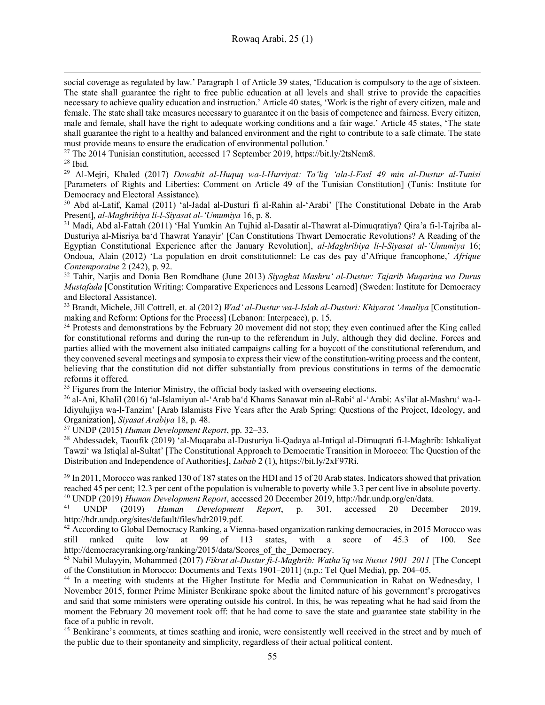social coverage as regulated by law.' Paragraph 1 of Article 39 states, 'Education is compulsory to the age of sixteen. The state shall guarantee the right to free public education at all levels and shall strive to provide the capacities necessary to achieve quality education and instruction.' Article 40 states, 'Work is the right of every citizen, male and female. The state shall take measures necessary to guarantee it on the basis of competence and fairness. Every citizen, male and female, shall have the right to adequate working conditions and a fair wage.' Article 45 states, 'The state shall guarantee the right to a healthy and balanced environment and the right to contribute to a safe climate. The state must provide means to ensure the eradication of environmental pollution.'

<sup>27</sup> The 2014 Tunisian constitution, accessed 17 September 2019, https://bit.ly/2tsNem8.

 $28$  Ibid.

l

<sup>29</sup> Al-Mejri, Khaled (2017) *Dawabit al-Huquq wa-l-Hurriyat: Ta'liq 'ala-l-Fasl 49 min al-Dustur al-Tunisi* [Parameters of Rights and Liberties: Comment on Article 49 of the Tunisian Constitution] (Tunis: Institute for Democracy and Electoral Assistance).

<sup>30</sup> Abd al-Latif, Kamal (2011) 'al-Jadal al-Dusturi fi al-Rahin al-'Arabi' [The Constitutional Debate in the Arab Present], *al-Maghribiya li-l-Siyasat al-'Umumiya* 16, p. 8.

<sup>31</sup> Madi, Abd al-Fattah (2011) 'Hal Yumkin An Tujhid al-Dasatir al-Thawrat al-Dimuqratiya? Qira'a fi-l-Tajriba al-Dusturiya al-Misriya ba'd Thawrat Yanayir' [Can Constitutions Thwart Democratic Revolutions? A Reading of the Egyptian Constitutional Experience after the January Revolution], *al-Maghribiya li-l-Siyasat al-'Umumiya* 16; Ondoua, Alain (2012) 'La population en droit constitutionnel: Le cas des pay d'Afrique francophone,' *Afrique Contemporaine* 2 (242), p. 92.

<sup>32</sup> Tahir, Narjis and Donia Ben Romdhane (June 2013) *Siyaghat Mashru' al-Dustur: Tajarib Muqarina wa Durus Mustafada* [Constitution Writing: Comparative Experiences and Lessons Learned] (Sweden: Institute for Democracy and Electoral Assistance).

<sup>33</sup> Brandt, Michele, Jill Cottrell, et. al (2012) *Wad' al-Dustur wa-l-Islah al-Dusturi: Khiyarat 'Amaliya* [Constitutionmaking and Reform: Options for the Process] (Lebanon: Interpeace), p. 15.

<sup>34</sup> Protests and demonstrations by the February 20 movement did not stop; they even continued after the King called for constitutional reforms and during the run-up to the referendum in July, although they did decline. Forces and parties allied with the movement also initiated campaigns calling for a boycott of the constitutional referendum, and they convened several meetings and symposia to express their view of the constitution-writing process and the content, believing that the constitution did not differ substantially from previous constitutions in terms of the democratic reforms it offered.

<sup>35</sup> Figures from the Interior Ministry, the official body tasked with overseeing elections.

<sup>36</sup> al-Ani, Khalil (2016) 'al-Islamiyun al-'Arab ba'd Khams Sanawat min al-Rabi' al-'Arabi: As'ilat al-Mashru' wa-l-Idiyulujiya wa-l-Tanzim' [Arab Islamists Five Years after the Arab Spring: Questions of the Project, Ideology, and Organization], *Siyasat Arabiya* 18, p. 48.

<sup>37</sup> UNDP (2015) *Human Development Report*, pp. 32–33.

<sup>38</sup> Abdessadek, Taoufik (2019) 'al-Muqaraba al-Dusturiya li-Qadaya al-Intiqal al-Dimuqrati fi-l-Maghrib: Ishkaliyat Tawzi' wa Istiqlal al-Sultat' [The Constitutional Approach to Democratic Transition in Morocco: The Question of the Distribution and Independence of Authorities], *Lubab* 2 (1), https://bit.ly/2xF97Ri.

<sup>39</sup> In 2011, Morocco was ranked 130 of 187 states on the HDI and 15 of 20 Arab states. Indicators showed that privation reached 45 per cent; 12.3 per cent of the population is vulnerable to poverty while 3.3 per cent live in absolute poverty.

<sup>40</sup> UNDP (2019) *Human Development Report*, accessed 20 December 2019, http://hdr.undp.org/en/data. <sup>41</sup> UNDP (2019) *Human Development Report*, p. 301, accessed 20 December 2019, http://hdr.undp.org/sites/default/files/hdr2019.pdf.

<sup>42</sup> According to Global Democracy Ranking, a Vienna-based organization ranking democracies, in 2015 Morocco was still ranked quite low at 99 of 113 states, with a score of 45.3 of 100. See http://democracyranking.org/ranking/2015/data/Scores\_of\_the\_Democracy.

<sup>43</sup> Nabil Mulayyin, Mohammed (2017) *Fikrat al-Dustur fi-l-Maghrib: Watha'iq wa Nusus 1901–2011* [The Concept of the Constitution in Morocco: Documents and Texts 1901–2011] (n.p.: Tel Quel Media), pp. 204–05.

<sup>44</sup> In a meeting with students at the Higher Institute for Media and Communication in Rabat on Wednesday, 1 November 2015, former Prime Minister Benkirane spoke about the limited nature of his government's prerogatives and said that some ministers were operating outside his control. In this, he was repeating what he had said from the moment the February 20 movement took off: that he had come to save the state and guarantee state stability in the face of a public in revolt.

<sup>45</sup> Benkirane's comments, at times scathing and ironic, were consistently well received in the street and by much of the public due to their spontaneity and simplicity, regardless of their actual political content.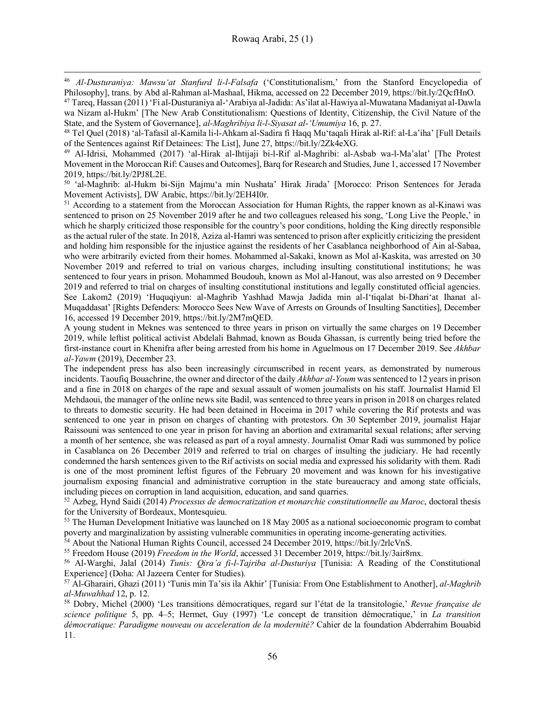<sup>46</sup> *Al-Dusturaniya: Mawsu'at Stanfurd li-l-Falsafa* ('Constitutionalism,' from the Stanford Encyclopedia of Philosophy], trans. by Abd al-Rahman al-Mashaal, Hikma, accessed on 22 December 2019, https://bit.ly/2QcfHnO.

l

<sup>47</sup> Tareq, Hassan (2011) 'Fi al-Dusturaniya al-'Arabiya al-Jadida: As'ilat al-Hawiya al-Muwatana Madaniyat al-Dawla wa Nizam al-Hukm' [The New Arab Constitutionalism: Questions of Identity, Citizenship, the Civil Nature of the State, and the System of Governance], *al-Maghribiya li-l-Siyasat al-'Umumiya* 16, p. 27.

<sup>48</sup> Tel Quel (2018) 'al-Tafasil al-Kamila li-l-Ahkam al-Sadira fi Haqq Mu'taqali Hirak al-Rif: al-La'iha' [Full Details of the Sentences against Rif Detainees: The List], June 27, https://bit.ly/2Zk4eXG.

<sup>49</sup> Al-Idrisi, Mohammed (2017) 'al-Hirak al-Ihtijaji bi-l-Rif al-Maghribi: al-Asbab wa-l-Ma'alat' [The Protest Movement in the Moroccan Rif: Causes and Outcomes], Barq for Research and Studies, June 1, accessed 17 November 2019, https://bit.ly/2PJ8L2E.

<sup>50</sup> 'al-Maghrib: al-Hukm bi-Sijn Majmu'a min Nushata' Hirak Jirada' [Morocco: Prison Sentences for Jerada Movement Activists], DW Arabic, https://bit.ly/2EH4I0r.

<sup>51</sup> According to a statement from the Moroccan Association for Human Rights, the rapper known as al-Kinawi was sentenced to prison on 25 November 2019 after he and two colleagues released his song, 'Long Live the People,' in which he sharply criticized those responsible for the country's poor conditions, holding the King directly responsible as the actual ruler of the state. In 2018, Aziza al-Hamri was sentenced to prison after explicitly criticizing the president and holding him responsible for the injustice against the residents of her Casablanca neighborhood of Ain al-Sabaa, who were arbitrarily evicted from their homes. Mohammed al-Sakaki, known as Mol al-Kaskita, was arrested on 30 November 2019 and referred to trial on various charges, including insulting constitutional institutions; he was sentenced to four years in prison. Mohammed Boudouh, known as Mol al-Hanout, was also arrested on 9 December 2019 and referred to trial on charges of insulting constitutional institutions and legally constituted official agencies. See Lakom2 (2019) 'Huquqiyun: al-Maghrib Yashhad Mawja Jadida min al-I'tiqalat bi-Dhari'at Ihanat al-Muqaddasat' [Rights Defenders: Morocco Sees New Wave of Arrests on Grounds of Insulting Sanctities], December 16, accessed 19 December 2019, https://bit.ly/2M7mQED.

A young student in Meknes was sentenced to three years in prison on virtually the same charges on 19 December 2019, while leftist political activist Abdelali Bahmad, known as Bouda Ghassan, is currently being tried before the first-instance court in Khenifra after being arrested from his home in Aguelmous on 17 December 2019. See *Akhbar al-Yawm* (2019), December 23.

The independent press has also been increasingly circumscribed in recent years, as demonstrated by numerous incidents. Taoufiq Bouachrine, the owner and director of the daily *Akhbar al-Youm* was sentenced to 12 years in prison and a fine in 2018 on charges of the rape and sexual assault of women journalists on his staff. Journalist Hamid El Mehdaoui, the manager of the online news site Badil, was sentenced to three years in prison in 2018 on charges related to threats to domestic security. He had been detained in Hoceima in 2017 while covering the Rif protests and was sentenced to one year in prison on charges of chanting with protestors. On 30 September 2019, journalist Hajar Raissouni was sentenced to one year in prison for having an abortion and extramarital sexual relations; after serving a month of her sentence, she was released as part of a royal amnesty. Journalist Omar Radi was summoned by police in Casablanca on 26 December 2019 and referred to trial on charges of insulting the judiciary. He had recently condemned the harsh sentences given to the Rif activists on social media and expressed his solidarity with them. Radi is one of the most prominent leftist figures of the February 20 movement and was known for his investigative journalism exposing financial and administrative corruption in the state bureaucracy and among state officials, including pieces on corruption in land acquisition, education, and sand quarries.

<sup>52</sup> Azbeg, Hynd Saidi (2014) *Processus de democratization et monarchie constitutionnelle au Maroc*, doctoral thesis for the University of Bordeaux, Montesquieu.

<sup>53</sup> The Human Development Initiative was launched on 18 May 2005 as a national socioeconomic program to combat poverty and marginalization by assisting vulnerable communities in operating income-generating activities.

<sup>54</sup> About the National Human Rights Council, accessed 24 December 2019, https://bit.ly/2rlcVnS.

<sup>55</sup> Freedom House (2019) *Freedom in the World*, accessed 31 December 2019, https://bit.ly/3air8mx.

<sup>56</sup> Al-Warghi, Jalal (2014) *Tunis: Qira'a fi-l-Tajriba al-Dusturiya* [Tunisia: A Reading of the Constitutional Experience] (Doha: Al Jazeera Center for Studies).

<sup>57</sup> Al-Gharairi, Ghazi (2011) 'Tunis min Ta'sis ila Akhir' [Tunisia: From One Establishment to Another], *al-Maghrib al-Muwahhad* 12, p. 12.

<sup>58</sup> Dobry, Michel (2000) 'Les transitions démocratiques, regard sur l'état de la transitologie,' *Revue française de science politique* 5, pp. 4–5; Hermet, Guy (1997) 'Le concept de transition démocratique,' in *La transition démocratique: Paradigme nouveau ou acceleration de la modernité?* Cahier de la foundation Abderrahim Bouabid 11.